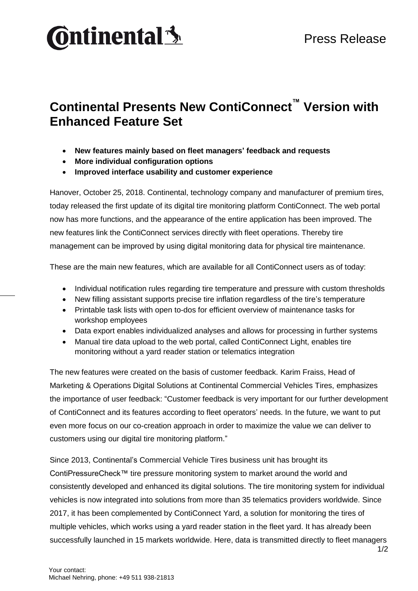

## **Continental Presents New ContiConnect™ Version with Enhanced Feature Set**

- **New features mainly based on fleet managers' feedback and requests**
- **More individual configuration options**
- **Improved interface usability and customer experience**

Hanover, October 25, 2018. Continental, technology company and manufacturer of premium tires, today released the first update of its digital tire monitoring platform ContiConnect. The web portal now has more functions, and the appearance of the entire application has been improved. The new features link the ContiConnect services directly with fleet operations. Thereby tire management can be improved by using digital monitoring data for physical tire maintenance.

These are the main new features, which are available for all ContiConnect users as of today:

- Individual notification rules regarding tire temperature and pressure with custom thresholds
- New filling assistant supports precise tire inflation regardless of the tire's temperature
- Printable task lists with open to-dos for efficient overview of maintenance tasks for workshop employees
- Data export enables individualized analyses and allows for processing in further systems
- Manual tire data upload to the web portal, called ContiConnect Light, enables tire monitoring without a yard reader station or telematics integration

The new features were created on the basis of customer feedback. Karim Fraiss, Head of Marketing & Operations Digital Solutions at Continental Commercial Vehicles Tires, emphasizes the importance of user feedback: "Customer feedback is very important for our further development of ContiConnect and its features according to fleet operators' needs. In the future, we want to put even more focus on our co-creation approach in order to maximize the value we can deliver to customers using our digital tire monitoring platform."

1/2 Since 2013, Continental's Commercial Vehicle Tires business unit has brought its ContiPressureCheck™ tire pressure monitoring system to market around the world and consistently developed and enhanced its digital solutions. The tire monitoring system for individual vehicles is now integrated into solutions from more than 35 telematics providers worldwide. Since 2017, it has been complemented by ContiConnect Yard, a solution for monitoring the tires of multiple vehicles, which works using a yard reader station in the fleet yard. It has already been successfully launched in 15 markets worldwide. Here, data is transmitted directly to fleet managers